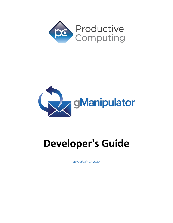



# **Developer's Guide**

*Revised July 27, 2020*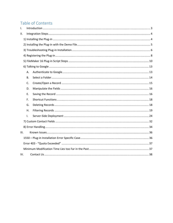# Table of Contents

| I.   |           |  |
|------|-----------|--|
| ΙΙ.  |           |  |
|      |           |  |
|      |           |  |
|      |           |  |
|      |           |  |
|      |           |  |
|      |           |  |
|      | Α.        |  |
|      | <b>B.</b> |  |
|      | C.        |  |
|      | D.        |  |
|      | E.        |  |
|      | F.        |  |
|      | G.        |  |
|      | Η.        |  |
|      | Τ.        |  |
|      |           |  |
|      |           |  |
| III. |           |  |
|      |           |  |
|      |           |  |
|      |           |  |
| IV.  |           |  |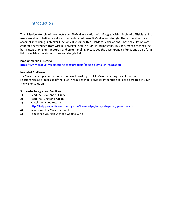# <span id="page-2-0"></span>I. Introduction

The gManipulator plug-in connects your FileMaker solution with Google. With this plug-in, FileMaker Pro users are able to bidirectionally exchange data between FileMaker and Google. These operations are accomplished using FileMaker function calls from within FileMaker calculations. These calculations are generally determined from within FileMaker "SetField" or "If" script steps. This document describes the basic integration steps, features, and error handling. Please see the accompanying Functions Guide for a list of available plug-in functions and Google fields.

#### **Product Version History:**

<https://www.productivecomputing.com/products/google-filemaker-integration>

#### **Intended Audience:**

FileMaker developers or persons who have knowledge of FileMaker scripting, calculations and relationships as proper use of the plug-in requires that FileMaker integration scripts be created in your FileMaker solution.

#### **Successful Integration Practices:**

- 1) Read the Developer's Guide
- 2) Read the Function's Guide
- 3) Watch our video tutorials: [http://help.productivecomputing.com/knowledge\\_base/categories/gmanipulator](http://help.productivecomputing.com/knowledge_base/categories/gmanipulator)
- 4) Review our FileMaker demo file
- 5) Familiarize yourself with the Google Suite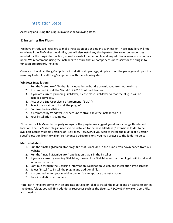# <span id="page-3-0"></span>II. Integration Steps

Accessing and using the plug-in involves the following steps.

# <span id="page-3-1"></span>**1) Installing the Plug-in**

We have introduced installers to make installation of our plug-ins even easier. These installers will not only install the FileMaker plug-in file, but will also install any third-party software or dependencies needed for the plug-in to function, as well as install the demo file and any additional resources you may need. We recommend using the installers to ensure that all components necessary for the plug-in to function are properly installed.

Once you download the gManipulator installation zip package, simply extract the package and open the resulting folder. Install the gManipulator with the following steps.

#### **Windows Installation:**

- 1. Run the "setup.exe" file that is included in the bundle downloaded from our website
- 2. If prompted, install the Visual C++ 2013 Runtime Libraries
- 3. If you are currently running FileMaker, please close FileMaker so that the plug-in will be installed correctly.
- 4. Accept the End User License Agreement ("EULA")
- 5. Select the location to install the plug-in\*
- 6. Confirm the installation
- 7. If prompted by Windows user account control, allow the installer to run
- 8. Your installation is complete!

\*In order for FileMaker to properly recognize the plug-in, we suggest you do not change this default location. The FileMaker plug-in needs to be installed to the base FileMaker/Extensions folder to be available across multiple versions of FileMaker. However, if you wish to install the plug-in at a version specific location like FileMaker Pro Advanced 16/Extensions, you may browse to the folder to do so.

#### **Mac Installation:**

- 1. Run the "Install gManipulator.dmg" file that is included in the bundle you downloaded from our website
- 2. Run the "Install gManipulator" application that is in the installer
- 3. If you are currently running FileMaker, please close FileMaker so that the plug-in will install and initialize correctly
- 4. Continue through the Licensing Information, Destination Select, and Installation Type screens
- 5. Select "Install" to install the plug-in and additional files
- 6. If prompted, enter your machine credentials to approve the installation
- 7. Your installation is complete!

Note: Both installers come with an application (.exe or .pkg) to install the plug-in and an Extras folder. In the Extras folder, you will find additional resources such as the License, README, FileMaker Demo File, and plug-ins.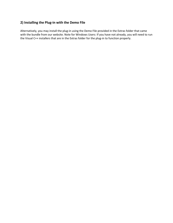# <span id="page-4-0"></span>**2) Installing the Plug-in with the Demo File**

Alternatively, you may install the plug-in using the Demo File provided in the Extras folder that came with the bundle from our website. Note for Windows Users: If you have not already, you will need to run the Visual C++ installers that are in the Extras folder for the plug-in to function properly.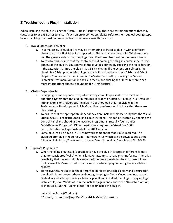# <span id="page-5-0"></span>**3) Troubleshooting Plug-in Installation**

When installing the plug-in using the "Install Plug-in" script step, there are certain situations that may cause a 1550 or 1551 error to arise. If such an error comes up, please refer to the troubleshooting steps below involving the most common problems that may cause those errors.

- 1. Invalid Bitness of FileMaker
	- a. In some cases, FileMaker Pro may be attempting to install a plug-in with a different bitness than the FileMaker Pro application. This is most common with Windows plugins. The general rule is that the plug-in and FileMaker Pro must be the same bitness.
	- b. To resolve this, ensure that the container field holding the plug-in contains the correct bitness of the plug-in. You can verify the plug-in's bitness by checking the file extension: if the extension is .fmx, the plug-in is a 32-bit plug-in; if the extension is .fmx64, the plug-in is a 64-bit plug-in. Mac plug-ins are built to function as both 32-bit and 64-bit plug-ins. You can verify the bitness of FileMaker Pro itself by viewing the "About FileMaker Pro" menu option in the Help menu, and clicking the "Info" button to see more information; bitness is found under "Architecture".
- 2. Missing Dependencies
	- a. Every plug-in has dependencies, which are system files present in the machine's operating system that the plug-in requires in order to function. If a plug-in is "installed" into an Extensions folder, but the plug-in does not load or is not visible in the Preferences > Plug-ins panel in FileMaker Pro's preferences, is it likely that there are files missing.
	- b. To ensure that the appropriate dependencies are installed, please verify that the Visual Studio 2013 C++ redistributable package is installed. This can be located by opening the Control Panel and checking the Installed Programs list (usually found under "Add/Remove Programs". Older plug-ins may require the Visual C++ 2008 Redistributable Package, instead of the 2013 version.
	- c. Some plug-ins also have a .NET Framework component that is also required. The gManipulator plug-in requires .NET Framework 4.5 which can be downloaded at the following link:<https://www.microsoft.com/en-us/download/details.aspx?id=30653>
- 3. Duplicate Plug-in Files
	- a. When installing plug-ins, it is possible to have the plug-in located in different folders that are considered "valid" when FileMaker attempts to load plug-ins for use. There is a possibility that having multiple versions of the same plug-in in place in these folders could cause FileMaker to fail to load a newly-installed plug-in during the installation process.
	- b. To resolve this, navigate to the different folder locations listed below and ensure that the plug-in is not present there by deleting the plug-in file(s). Once complete, restart FileMaker and attempt the installation again. If you installed the plug-in using a plug-in installer file, if on Windows, run the installer; again and choose the "Uninstall" option, or if on Mac, run the "uninstall.tool" file to uninstall the plug-in.

Installation Paths (Windows):

C:\Users\(current user)\AppData\Local\FileMaker\Extensions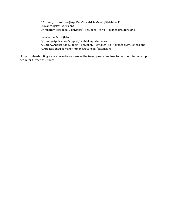C:\Users\(current user)\AppData\Local\FileMaker\FileMaker Pro [Advanced]\##\Extensions C:\Program Files (x86)\FileMaker\FileMaker Pro ## [Advanced]\Extensions

Installation Paths (Mac):

~/Library/Application Support/FileMaker/Extensions

~/Library/Application Support/FileMaker/FileMaker Pro [Advanced]/##/Extensions

~/Applications/FileMaker Pro ## [Advanced]/Extensions

If the troubleshooting steps above do not resolve the issue, please feel free to reach out to our support team for further assistance.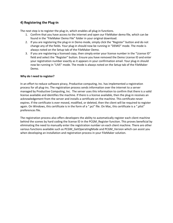# <span id="page-7-0"></span>**4) Registering the Plug-in**

The next step is to register the plug-in, which enables all plug-in functions.

- 1. Confirm that you have access to the internet and open our FileMaker demo file, which can be found in the "FileMaker Demo File" folder in your original download.
- 2. If you are registering the plug-in in Demo mode, simply click the "Register" button and do not change any of the fields. Your plug-in should now be running in "DEMO" mode. The mode is always noted on the Setup tab of the FileMaker Demo.
- 3. If you are registering a licensed copy, then simply enter your license number in the "License ID" field and select the "Register" button. Ensure you have removed the Demo License ID and enter your registration number exactly as it appears in your confirmation email. Your plug-in should now be running in "LIVE" mode. The mode is always noted on the Setup tab of the FileMaker Demo.

#### **Why do I need to register?**

In an effort to reduce software piracy, Productive computing, Inc. has implemented a registration process for all plug-ins. The registration process sends information over the internet to a server managed by Productive Computing, Inc. The server uses this information to confirm that there is a valid license available and identifies the machine. If there is a license available, then the plug-in receives an acknowledgement from the server and installs a certificate on the machine. This certificate never expires. If the certificate is ever moved, modified, or deleted, then the client will be required to register again. On Windows, this certificate is in the form of a ".pci" file. On Mac, this certificate is a ".plist" preferences file.

The registration process also offers developers the ability to automatically register each client machine behind the scenes by hard coding the license ID in the PCGM\_Register function. This proves beneficial by eliminating the need to manually enter the registration number on each client machine. There are other various functions available such as PCGM\_GetOperatingMode and PCGM\_Version which can assist you when developing an installation and registration process in your FileMaker solution.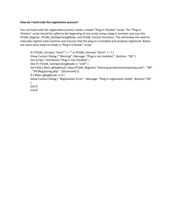#### **How do I hard-code the registration process?**

You can hard code the registration process inside a simple "Plug-in Checker" script. The "Plug-in Checker" script should be called at the beginning of any script using a plug-in function and uses the PCGM\_Register, PCGM\_GetOperatingMode, and PCGM\_Version functions. This eliminates the need to manually register each machine and ensures that the plug-in is installed and properly registered. Below are some basic steps to create a "Plug-in Checker" script.

If  $[PCGM_Version('Short") = "" or PCGM_Version('Short") = ?]$ Show Custom Dialog [ "Warning"; Message: "Plug-in not installed."; Buttons: "OK" ] Exit Script [ Text Result:"Plug-in not installed" ] Else If [ PCGM\_GetOperatingMode <> "LIVE" ] Set Field [ Main::gRegResult; Value:PCGM\_Register( "licensing.productivecomputing.com" ; "80" ; "/PCIReg/pcireg.php" ; \$\$LicenseID )] If [ Main::gRegResult <> 0 ] Show Custom Dialog [ "Registration Error" ; Message: "Plug-in registration failed"; Buttons:"OK"  $\mathbf{1}$ End If End If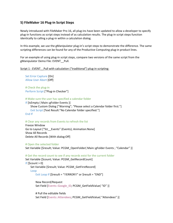# <span id="page-9-0"></span>**5) FileMaker 16 Plug-in Script Steps**

Newly introduced with FileMaker Pro 16, all plug-ins have been updated to allow a developer to specify plug-in functions as script steps instead of as calculation results. The plug-in script steps function identically to calling a plug-in within a calculation dialog.

In this example, we use the gManipulator plug-in's script steps to demonstrate the difference. The same scripting differences can be found for any of the Productive Computing plug-in product lines.

For an example of using plug-in script steps, compare two versions of the same script from the gManipulator Demo File: EVENT\_\_Pull.

#### Script 1 - EVENT Pull with calculation ("traditional") plug-in scripting:

Set Error Capture [On] Allow User Abort [Off]

# Check the plug-in Perform Script ["Plug-in Checker"]

# Make sure the user has specified a calendar folder

If [IsEmpty ( Main::gFolder Events )]

Show Custom Dialog ["Warning"; "Please select a Calendar folder first."] Exit Script [Text Result:"No Calendar folder specified."] End If

# Clear any records from Events to refresh the list

Freeze Window Go to Layout ["SU\_\_Events" (Events); Animation:None] Show All Records Delete All Records [With dialog:Off]

# Open the selected folder Set Variable [\$result; Value: PCGM\_OpenFolder( Main::gFolder Events ; "Calendar" )]

# Get the record count to see if any records exist for the current folder Set Variable [\$count; Value: PCGM\_GetRecordCount] If  $[Scount > 0]$ Set Variable [\$result; Value: PCGM\_GetFirstRecord] Loop Exit Loop If [\$result = "!!ERROR!!" or \$result = "END"]

New Record/Request Set Field [Events::Google\_ID; PCGM\_GetFieldValue( "ID" )]

# Pull the editable fields Set Field [Events::Attendees; PCGM\_GetFieldValue( "Attendees" )]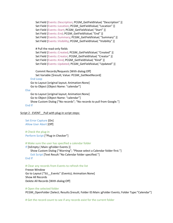Set Field [Events::Description; PCGM\_GetFieldValue( "Description" )] Set Field [Events::Location; PCGM\_GetFieldValue( "Location" )] Set Field [Events::Start; PCGM\_GetFieldValue( "Start" )] Set Field [Events::End; PCGM\_GetFieldValue( "End" )] Set Field [Events::Summary; PCGM\_GetFieldValue( "Summary" )] Set Field [Events::Visibility; PCGM\_GetFieldValue( "Visibility" )]

#### # Pull the read-only fields

Set Field [Events::Created; PCGM\_GetFieldValue( "Created" )] Set Field [Events::Creator; PCGM\_GetFieldValue( "Creator" )] Set Field [Events::Kind; PCGM\_GetFieldValue( "Kind" )] Set Field [Events::Updated; PCGM\_GetFieldValue( "Updated" )]

Commit Records/Requests [With dialog:Off] Set Variable [\$result; Value: PCGM\_GetNextRecord] End Loop Go to Layout [original layout; Animation:None] Go to Object [Object Name: "calendar"]

#### Else

Go to Layout [original layout; Animation:None] Go to Object [Object Name: "calendar"] Show Custom Dialog ["No records"; "No records to pull from Google."] End If

#### Script 2 - EVENT Pull with plug-in script steps:

Set Error Capture [On] Allow User Abort [Off]

# Check the plug-in Perform Script ["Plug-in Checker"]

#### # Make sure the user has specified a calendar folder

If [IsEmpty ( Main::gFolder Events )] Show Custom Dialog ["Warning"; "Please select a Calendar folder first."] Exit Script [Text Result:"No Calendar folder specified."] End If

#### # Clear any records from Events to refresh the list

Freeze Window Go to Layout ["SU\_\_Events" (Events); Animation:None] Show All Records Delete All Records [With dialog:Off]

#### # Open the selected folder

PCGM\_OpenFolder [Select; Results:\$result; Folder ID:Main::gFolder Events; Folder Type:"Calendar"]

# Get the record count to see if any records exist for the current folder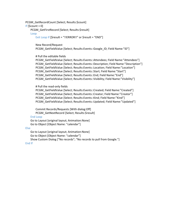PCGM\_GetRecordCount [Select; Results:\$count] If  $[Scount > 0]$ PCGM\_GetFirstRecord [Select; Results:\$result]

Loop

Exit Loop If [\$result = "!!ERROR!!" or \$result = "END"]

New Record/Request

PCGM\_GetFieldValue [Select; Results:Events::Google\_ID; Field Name:"ID"]

# Pull the editable fields

PCGM\_GetFieldValue [Select; Results:Events::Attendees; Field Name:"Attendees"] PCGM\_GetFieldValue [Select; Results:Events::Description; Field Name:"Description"] PCGM\_GetFieldValue [Select; Results:Events::Location; Field Name:"Location"] PCGM\_GetFieldValue [Select; Results:Events::Start; Field Name:"Start"] PCGM\_GetFieldValue [Select; Results:Events::End; Field Name:"End"] PCGM\_GetFieldValue [Select; Results:Events::Visibility; Field Name:"Visibility"]

# Pull the read-only fields

PCGM\_GetFieldValue [Select; Results:Events::Created; Field Name:"Created"] PCGM\_GetFieldValue [Select; Results:Events::Creator; Field Name:"Creator"] PCGM\_GetFieldValue [Select; Results:Events::Kind; Field Name:"Kind"] PCGM\_GetFieldValue [Select; Results:Events::Updated; Field Name:"Updated"]

Commit Records/Requests [With dialog:Off] PCGM\_GetNextRecord [Select; Results:\$result]

#### End Loop

Go to Layout [original layout; Animation:None] Go to Object [Object Name: "calendar"]

Else

Go to Layout [original layout; Animation:None] Go to Object [Object Name: "calendar"] Show Custom Dialog ["No records"; "No records to pull from Google."]

End If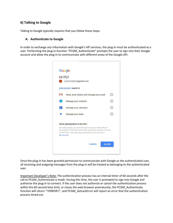# <span id="page-12-0"></span>**6) Talking to Google**

Talking to Google typically requires that you follow these steps:

#### <span id="page-12-1"></span>**A. Authenticate to Google**

In order to exchange any information with Google's API services, the plug-in must be authenticated as a user. Performing the plug-in function "PCGM\_Authenticate" prompts the user to sign into their Google account and allow the plug-in to communicate with different areas of the Google API.



Once the plug-in has been granted permission to communicate with Google as the authenticated user, all incoming and outgoing messages from the plug-in will be treated as belonging to the authenticated user.

Important Developer's Note: The authentication process has an internal timer of 60 seconds after the call to PCGM Authenticate is made. During this time, the user is prompted to sign into Google and authorize the plug-in to connect. If the user does not authorize or cancel the authentication process within the 60 second time limit, or closes the web browser prematurely, the PCGM\_Authenticate function will return "!!ERROR!!", and PCGM\_GetLastError will report an error that the authentication process timed out.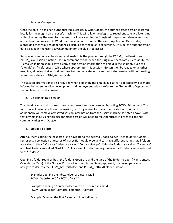#### 1. Session Management

Once the plug-in has been authenticated successfully with Google, the authenticated session is stored locally for the plug-in on the user's machine. This will allow the plug-in to reauthenticate at a later time without requiring the need for the user to allow access to the Google APIs again, and streamlines the authentication process. On Windows, this session is stored in the user's Application Data folder, alongside other required dependencies installed for the plug-in at runtime. On Mac, the authentication data is saved in the user's keychain utility for the plug-in to access.

Session information can be stored and loaded via the plug-in through the PCGM\_LoadSession and PCGM\_SaveSession functions. It is recommended that when the plug-in authenticates successfully, the FileMaker solution should save a copy of the session information to a field in the solution, such as a "Globals" or "Preferences" table where appropriate. This session info can then be loaded on another machine, allowing that second machine to communicate as the authenticated session without needing to authenticate via PCGM\_Authenticate.

The session information is also required when deploying the plug-in in a server-side capacity. For more information on server-side development and deployment, please refer to the "Server-Side Deployment" section later in this document.

#### 2. Disconnecting a Session

The plug-in can also disconnect the currently-authenticated session by calling PCGM\_Disconnect. This function will terminate the active session, revoking access for the authenticated account, and additionally will remove any saved session information from the user's machine as noted above. Note that any machine using this disconnected session will need to reauthenticate in order to continue communicating with Google.

# <span id="page-13-0"></span>**B. Select a Folder**

After authentication, the next step is to navigate to the desired Google folder. Each folder in Google represents a collection of records of a specific module type, and can have different names: Mail folders are called "Labels"; Contact folders are called "Contact Groups"; Calendar folders are called "Calendars"; and Task folders are called "Task Lists". For ease of understanding, however, all folders can be referred to as "Folders".

Opening a folder requires both the folder's Google ID and the type of the folder to open (Mail, Contact, Calendar, or Task). If the Google ID of a folder is not immediately apparent, the developer can also navigate folders via the PCGM\_GetFirstFolder and PCGM\_GetNextFolder functions.

Example: opening the Inbox folder of a user's Mail PCGM\_OpenFolder( "INBOX" ; "Mail" )

Example: opening a Contact folder with an ID stored in a field PCGM\_OpenFolder( Contacts::FolderID ; "Contact" )

Example: Opening the first Calendar folder indirectly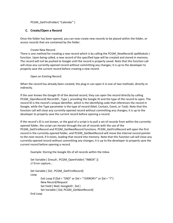# PCGM\_GetFirstFolder( "Calendar" )

# <span id="page-14-0"></span>**C. Create/Open a Record**

Once the folder has been opened, you can now create new records to be placed within the folder, or access records that are contained by the folder.

#### Create New Record:

There is one method for creating a new record which is by calling the PCGM\_NewRecord( optModule ) function. Upon being called, a new record of the specified type will be created and stored in memory. The record will not be pushed to Google until the record is properly saved. Note that this function call will close any currently-opened record without committing any changes; it is up to the developer to properly save the current record before creating a new record.

Open an Existing Record:

When the record has already been created, the plug-in can open it in one of two methods: directly or indirectly.

If the user knows the Google ID of the desired record, they can open the record directly by calling PCGM\_OpenRecord( RecordID ; Type ), providing the Google ID and the type of the record to open. The record ID is the record's unique identifier, which is the identifying code that references the record in Google, while the Type parameter is the type of record (Mail, Contact, Event, or Task). Note that this function call will close any currently-opened record without committing any changes; it is up to the developer to properly save the current record before opening a record.

If the record's ID is not known, or the goal of a script is to pull a set of records from within the currentlyopened folder, the script can iterate through the set of records with the use of the PCGM\_GetFirstRecord and PCGM\_GetNextRecord functions. PCGM\_GetFirstRecord will open the first record in the currently-opened folder, and PCGM\_GetNextRecord will move the internal record pointer to the next record, if it exists, loading that record into memory. Note that this function call will close any currently-opened record without committing any changes; it is up to the developer to properly save the current record before opening a record.

Example: Storing the Google IDs of all records within the Inbox

```
Set Variable [ $result ; PCGM OpenFolder( "INBOX" )]
// Error capture…
Set Variable [ $id ; PCGM_GetFirstRecord]
```

```
Loop
```

```
Exit Loop If \lceil \frac{\xi}{d} \rceil = \frac{n}{2} (END" or \zetaid = "!!ERROR!!" or \zetaid = "?"]
         New Record/Request
         Set Field [ Mail::GoogleID ; $id ]
         Set Variable [ $id; PCGM_GetNextRecord]
End Loop
```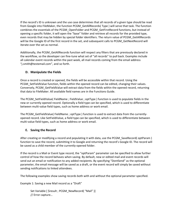If the record's ID is unknown and the use case determines that all records of a given type should be read from Google into FileMaker, the function PCGM\_GetAllRecords( Type ) will serve that task. The function combines the essentials of the PCGM\_OpenFolder and PCGM\_GetFirstRecord functions, but instead of opening a specific folder, it will open the "base" folder and retrieve all records for the provided type, even records that may be hidden by special folder identifiers. The return value of PCGM\_GetAllRecords will be the Google ID of the first record in the set, and subsequent calls to PCGM\_GetNextRecord will iterate over the set as normal.

Additionally, the PCGM\_GetAllRecords function will respect any filters that are previously declared in the workflow, so the developer can fine-tune what set of "all records" to pull back. Examples include all calendar event records within the past week, all mail records coming from the email address "j.smith@testemail.com", and so forth.

# <span id="page-15-0"></span>**D. Manipulate the Fields**

Once a record is created or opened, the fields will be accessible within that record. Using the PCGM\_SetFieldValue function, fields within the opened record can be edited, changing their values. Conversely, PCGM\_GetFieldValue will extract data from the fields within the opened record, returning that data to FileMaker. All available field names are in the Functions Guide.

The PCGM\_SetFieldValue( FieldName ; FieldValue ; optType ) function is used to populate fields in the new or currently opened record. Optionally a field type can be specified, which is used to differentiate between multi-value field types, such as home address or work email.

The PCGM GetFieldValue( FieldName ; optType) function is used to extract data from the currentlyopened record. Like SetFieldValue, a field type can be specified, which is used to differentiate between multi-value field types, such as home address or work email.

# <span id="page-15-1"></span>**E. Saving the Record**

After creating or modifying a record and populating it with data, use the PCGM\_SaveRecord( optParam ) function to save the record, submitting it to Google and returning the record's Google ID. The record will be saved as a child member of the currently-opened folder.

If the record is a Mail or Event type record, the "optParam" parameter can be specified to allow further control of how the record behaves when saving. By default, new or edited mail and event records will send out an email or notification to any added recipients. By specifying "DontSend" as the optional parameter, the email message will be saved as a draft, or the event record will simply be saved without sending notifications to linked attendees.

The following examples show saving records both with and without the optional parameter specified.

Example 1: Saving a new Mail record as a "Draft"

Set Variable [ \$result ; PCGM\_NewRecord( "Mail" )] // Error capture…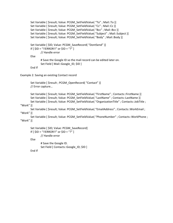```
Set Variable [ $result; Value: PCGM_SetFieldValue( "To" ; Mail::To )]
Set Variable [ $result; Value: PCGM_SetFieldValue( "Cc" ; Mail::Cc )]
Set Variable [ $result; Value: PCGM_SetFieldValue( "Bcc" ; Mail::Bcc )]
Set Variable [ $result; Value: PCGM_SetFieldValue( "Subject" ; Mail::Subject )]
Set Variable [ $result; Value: PCGM_SetFieldValue( "Body" ; Mail::Body )]
Set Variable [ $ID; Value: PCGM_SaveRecord( "DontSend" )]
If [ $ID = "!!ERROR!!" or $ID = "?" ]
       // Handle error
Else
        # Save the Google ID so the mail record can be edited later on.
```

```
Set Field [ Mail::Google_ID; $ID ]
```

```
End If
```
Example 2: Saving an existing Contact record

```
Set Variable [ $result ; PCGM OpenRecord( "Contact" )]
// Error capture…
```

```
Set Variable [ $result; Value: PCGM_SetFieldValue( "FirstName" ; Contacts::FirstName )]
Set Variable [ $result; Value: PCGM_SetFieldValue( "LastName" ; Contacts::LastName )]
Set Variable [ $result; Value: PCGM_SetFieldValue( "OrganizationTitle" ; Contacts::JobTitle ;
```
# "Work" )]

Set Variable [ \$result; Value: PCGM\_SetFieldValue( "EmailAddress" ; Contacts::WorkEmail ; "Work" )]

Set Variable [ \$result; Value: PCGM\_SetFieldValue( "PhoneNumber" ; Contacts::WorkPhone ; "Work" )]

```
Set Variable [ $ID; Value: PCGM_SaveRecord]
If \lceil $ID = "!!ERROR!!" or $ID = "?" ]
        // Handle error
Else
        # Save the Google ID.
        Set Field [ Contacts::Google_ID; $ID ]
```
End If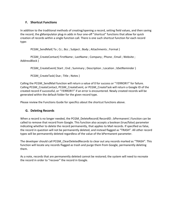# <span id="page-17-0"></span>**F. Shortcut Functions**

In addition to the traditional methods of creating/opening a record, setting field values, and then saving the record, the gManipulator plug-in adds in four one-off "shortcut" functions that allow for quick creation of records within a single function call. There is one such shortcut function for each record type:

PCGM\_SendMail(To ; Cc ; Bcc ; Subject ; Body ; Attachments ; Format )

PCGM\_CreateContact( FirstName ; LastName ; Company ; Phone ; Email ; Website ; AddressBlock )

PCGM\_CreateEvent( Start ; End ; Summary ; Description ; Location ; bSetReminder )

PCGM\_CreateTask( Due ; Title ; Notes )

Calling the PCGM\_SendMail function will return a value of 0 for success or "!!ERROR!!" for failure. Calling PCGM\_CreateContact, PCGM\_CreateEvent, or PCGM\_CreateTask will return a Google ID of the created record if successful, or "!!ERROR!!" if an error is encountered. Newly created records will be generated within the default folder for the given record type.

Please review the Functions Guide for specifics about the shortcut functions above.

# <span id="page-17-1"></span>**G. Deleting Records**

When a record is no longer needed, the PCGM DeleteRecord( RecordID ; bPermanent ) function can be called to remove that record from Google. This function also accepts a boolean (true/false) parameter indicating whether to delete the record permanently, that applies to Mail records. If specified as false, the record in question will not be permanently deleted, and instead flagged as "TRASH". All other record types will be permanently deleted regardless of the value of the bPermanent parameter.

The developer should call PCGM\_ClearDeletedRecords to clear out any records marked as "TRASH". This function will locate any records flagged as trash and purge them from Google, permanently deleting them.

As a note, records that are permanently deleted cannot be restored; the system will need to recreate the record in order to "recover" the record in Google.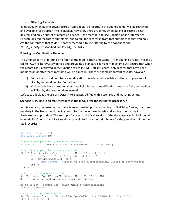#### **H. Filtering Records**

<span id="page-18-0"></span>By default, when pulling down records from Google, all records in the opened folder will be retrieved and available for insertion into FileMaker. However, there are times when pulling all records is not desired, and only a subset of records is needed. One method is to use Google's online interface to relocate desired records to subfolders, and to pull the records in from that subfolder so that you only get the contents of that folder. Another method is to use filtering by the two functions, PCGM\_FilterByLastModified and PCGM\_FilterByField.

#### **Filtering by Modification Timestamp**

The simplest form of filtering is to filter by the modification timestamp. After opening a folder, making a call to PCGM FilterByLastModified and providing a standard FileMaker timestamp will ensure that when the record list is retrieved in the function call to PCGM GetFirstRecord, only records that have been modified on or after that timestamp will be pulled in. There are some important caveats, however:

- 1) Contact records do not have a modification metadata field available to them, so you cannot filter by last modified for Contact records
- 2) Mail records have a creation metadata field, but not a modification metadata field, so the filter will filter by the creation date instead

Let's take a look at the use of PCGM\_FilterByLastModified with a scenario and matching script.

#### **Scenario 1: Pulling in all mail messages in the Inbox after the last batch process run**

In this scenario, we assume that there is an automated process, running on FileMaker Server, that runs regularly in the background, pulling new information in form Google and adding or updating in FileMaker as appropriate. This example focuses on the Mail section of the database; similar logic could be made for Calendar and Task sections, as well. Let's see the script below for the part that pulls in the Mail records:

```
Allow User Abort [Off]
Set Error Capture [On]
# Verify the plug-in is ready to function
Perform Script ["Plug-in Checker"; Parameter:"NoDialog=True"]
# Verify the plug-in is authenticated
If [ IsEmpty( Main::bConnected ) or Main::bConnected = 0 ]
      Perform Script ["Load Authenticated Session"]
      If [ Get(ScriptResult) <> 0 ]
            Exit Script [ "Unable to load authentication. Please re-authenticate." ]
      End If
End If
# Get into the proper context 
Set Variable [$mailFolderID; Value: Main::MailFolderID]
Set Variable [$lastRun; Value: Main::LastPullRun]
Go to Layout ["Script Use MAIL" (Mail); Animation:None]
Show All Records
# Open the Inbox Mail folder
Set Variable [$result; Value: PCGM OpenFolder( $mailFolderID ; "Mail" )]
If [ $result <> 0 ]
```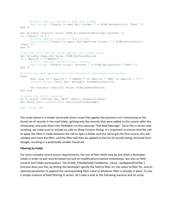```
# Error capture: failed to open mail folder
      Exit Script ["Unable to open Mail folder: " & PCGM GetLastError( "Text" )]
End If
Set Variable [$result; Value: PCGM_FilterByLastModified( $lastRun )]
If [ $result \langle > 0]# Error capture: failed to apply filter
      Exit Script ["Unable to apply Last Modified filter: " & PCGM_GetLastError( 
"Text" )]
End If
# Get the first record, which applies the stored filter
Set Variable [$mailID; Value: PCGM_GetFirstRecord]
If [ $mailID = "!!ERROR!!" ]
     # Error capture: failed to pull records
     Exit Script ["Unable to pull records: " & PCGM GetLastError( "Text" )]
End If
# Filter has been applied; pull our records in and handle accordingly.
Loop
      Exit Loop If [ $mailID = "!!ERROR!!" or $mailID = "END" or $mailID = "?" ]
      Perform Script ["Pull Mail Message"; Parameter: $mailID]
      Set Variable [$mailID; Value: PCGM_GetNextRecord]
End Loop
# Update the batch timestamp 
Go to Layout ["Script_Use__MAIN" (Main); Animation:None]
Set Field [Main::LastPullRun; Get(CurrentTimestamp)]
Exit Script [0]
```
The script above is a simple serverside driver script that applies the previous run's timestamp to the found set of records in the mail folder, getting only the records that were added to the system after the timestamp, and pulls them into FileMaker via the subscript "Pull Mail Message". Since this is server-side scripting, we make sure to include no calls to Show Custom Dialog. It is important to ensure that the call to apply the filter is made between the call to open a folder and the call to get the first record; this will validate and store the filter, and the filter will then be applied to the list of records being retrieved from Google, resulting in a potentially-smaller found set.

#### **Filtering by Fields**

For more complex record access requirements, the use of filter fields may be just what a developer needs in order to pull records based not just on modification/creation timestamps, but also on field content and folder participation. The PCGM\_FilterByField( FieldName ; Value ; optAppendToFilter ) function does just this, by letting the developer specify the field to filter on, the value to filter for, and an optional parameter to append the corresponding filter value to whatever filter is already in place. To see a simple instance of field filtering in action, let's take a look at the following scenario and its script.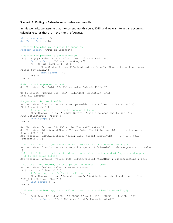#### **Scenario 2: Pulling in Calendar records due next month**

In this scenario, we assume that the current month is July, 2018, and we want to get all upcoming calendar records that are in the month of August.

```
Allow User Abort [Off]
Set Error Capture [On]
# Verify the plug-in is ready to function
Perform Script ["Plug-in Checker"]
# Verify the plug-in is authenticated
If [ IsEmpty( Main::bConnected ) or Main::bConnected = 0 ]
      Perform Script ["Connect to Google"]
      If [ Get(ScriptResult) <> 0 ]
             Show Custom Dialog ["Authentication Error"; "Unable to authenticate. 
Please try again."]
             Exit Script [ -1 ]
      End If
End If
# Get into the proper context 
Set Variable [$calFolderID; Value: Main::CalendarFolderID]
Go to Layout ["Script Use CAL" (Calendar); Animation:None]
Show All Records
# Open the Inbox Mail folder
Set Variable [$result; Value: PCGM_OpenFolder( $calFolderID ; "Calendar" )]
If [ $result <> 0 ]
      # Error capture: failed to open mail folder
      Show Custom Dialog ["Folder Error"; "Unable to open the folder: " & 
PCGM_GetLastError( "Text" )]
      Exit Script [ -1 ]
End If
Set Variable [$currentTS; Value: Get(CurrentTimestamp)]
Set Variable [$dateAugustStart; Value: Date( Month( $currentTS ) + 1 ; 1 ; Year(
$currentTS ) )] 
Set Variable [$dateAugustEnd; Value: Date( Month( $currentTS ) + 1 ; 31 ; Year( 
$currentTS ) )]
# Set the filter to get events whose time minimum is the start of August
Set Variable [$result; Value: PCGM_FilterByField( "timeMin" ; $dateAugustStart ; False
)]
# Set the filter to get events whose time maximum is the end of August, and append
# it to the first filter
Set Variable [$result; Value: PCGM_FilterByField( "timeMax" ; $dateAugustEnd ; True )]
# Get the first record, which applies the stored filters
Set Variable [$calID; Value: PCGM GetFirstRecord]
If \lceil $calID = "!!ERROR!!" ]
      # Error capture: failed to pull records
      Show Custom Dialog ["Record Error"; "Unable to get the first record: " & 
PCGM GetLastError( "Text" )]
      Exit Script [ -1 ]
End If
# Filters have been applied; pull our records in and handle accordingly.
Loop
      Exit Loop If [ $callD = "!!ERROR!!" or $callD = "END" or $callD = "?" ]Perform Script ["Pull Calendar Event"; Parameter: $calID]
```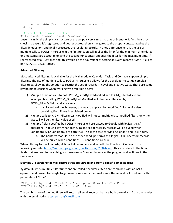```
Set Variable [$calID; Value: PCGM GetNextRecord]
End Loop
```
#### # Return to the original context

Go to Layout [original layout; Animation:None]

Unsurprisingly, the simplistic structure of the script is very similar to that of Scenario 1: first the script checks to ensure it's registered and authenticated, then it navigates to the proper context, applies the filters in question, and finally processes the resulting records. The key difference here is the use of multiple calls to PCGM\_FilterByField; the first function call applies the filter for the minimum time (dates or timestamps are acceptable), and the second functioncall appends the filter for the maximum time. If represented by a FileMaker find, this would be the equivalent of setting an Event record's "Start" field to be "8/1/2018…8/31/2018".

#### **Advanced Filtering**

Most advanced filtering is available for the Mail module; Calendar, Task, and Contacts support simple filtering. The use of multiple calls to PCGM FilterByField allows for the developer to set up complex filter rules, allowing the solution to restrict the set of records in novel and creative ways. There are some key points to consider when working with multiple filters:

- 1) Multiple function calls to both PCGM\_FilterByLastModified and PCGM\_FilterByField are incompatible; calling PCGM\_FilterByLastModified will clear any filters set by PCGM\_FilterByField, and vice versa
	- a. It still can be done, however; the way to apply a "last modified" filter while also providing Field filters is explained below.
- 2) Multiple calls to PCGM\_FilterByLastModified will not set multiple last modified filters; only the last call will be the filter value used.
- 3) Multiple fields specified by PCGM\_FilterByField are passed to Google with logical "AND" operators. That is to say, when retrieving the set of records, records will be pulled when Condition1 AND Condition2 are both true. This is the case for Mail, Calendar, and Task filters.
	- a. The Contacts module, on the other hand, performs as a logical "OR" operator; records will be pulled when Condition1 OR Condition2 are true.

When filtering for mail records, all filter fields can be found in both the Functions Guide and the following website: [https://support.google.com/mail/answer/7190?hl=en.](https://support.google.com/mail/answer/7190?hl=en) This site refers to the filter fields that are used for searching for messages in Google's interface; the plug-in handles filters in the same way.

#### **Example 1: Searching for mail records that are unread and from a specific email address**

By default, when multiple filter functions are called, the filter criteria are combined with an AND operator and passed to Google to get results. As a reminder, make sure the second call is set with a third parameter of "True".

```
PCGM FilterByField( "Sender" ; "test.person@email.com" ; False )
PCGM_FilterByField( "Is" ; "unread" ; True )
```
The combination of the two filters will return all email records that are both unread and from the sender with the email address [test.person@gmail.com.](mailto:test.person@gmail.com)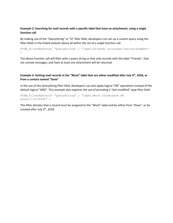#### **Example 2: Searching for mail records with a specific label that have an attachment, using a single function call**

By making use of the "QueryString" or "Q" filter field, developers can set up a custom query using the filter fields in the linked website above all within the set of a single function call.

```
PCGM_FilterByField( "QueryString" ; "label:Friends is:unread has:attachment"
\left( \right)
```
The above function call will filter with a query string so that only records with the label "Friends", that are unread messages, and have at least one attachment will be returned.

#### Example 3: Getting mail records in the "Work" label that are either modified after July 4<sup>th</sup>, 2018, or **from a contact named "Dave"**

In the use of the QueryString filter field, developers can also apply logical "OR" operations instead of the default logical "AND". This example also explores the use of providing a "last modified"-type filter field.

```
PCGM_FilterByField( "QueryString" ; "label:Work (from:Dave OR
after:7/4/2018)" )
```
This filter dictates that a record must be assigned to the "Work" label and be either from "Dave", or be created after July 4<sup>th</sup>, 2018.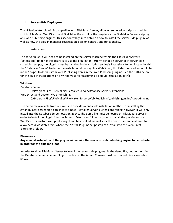# <span id="page-23-0"></span>**I. Server-Side Deployment**

The gManipulator plug-in is compatible with FileMaker Server, allowing server-side scripts, scheduled scripts, FileMaker WebDirect, and FileMaker Go to utilize the plug-in via the FileMaker Server scripting and web publishing engines. This section will go into detail on how to install the server-side plug-in, as well as how the plug-in manages registration, session control, and functionality.

# 1. Installation

The server plug-in will need to be installed on the server machine within the FileMaker Server's "Extensions" folder. If the desire is to use the plug-in for Perform Script on Server or in server-side scheduled scripts, the plug-in must be installed in the scripting engine's Extensions folder, located within the "Database Server" folder in the installation directory. For WebDirect, this Extensions folder would be in the "cwpc" folder (Custom Web Publishing Core) in the Web Publishing Engine. See the paths below for the plug-in installations on a Windows server (assuming a default installation path):

# Windows:

# Database Server:

C:\Program Files\FileMaker\FileMaker Server\Database Server\Extensions Web Direct and Custom Web Publishing:

C:\Program Files\FileMaker\FileMaker Server\Web Publishing\publishingengine\cwpc\Plugins

The demo file available from our website provides a one-click installation method for installing the gManipulator server-side plug-in into a host FileMaker Server's Extensions folder; however, it will only install into the Database Server location above. The demo file must be hosted on FileMaker Server in order to install the plug-in into the Server's Extensions folder. In order to install the plug-in for use in WebDirect or custom web publishing, it can be installed manually, or the demo file can be altered to allow access via WebDirect, where the "Install Plug-in" script step can install into the WebDirect Extensions folder.

# **Please note:**

# **Any manual installation of the plug-in will require the server or web publishing engine to be restarted in order for the plug-in to load.**

In order to allow FileMaker Server to install the server-side plug-ins via the demo file, both options in the Database Server > Server Plug-ins section in the Admin Console must be checked. See screenshot below.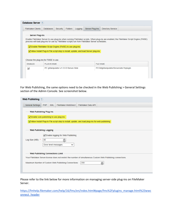| Database Server (?)                                |                                                                                                                                                                                                                                                                                                                                                                                                                                      |  |  |  |  |  |  |  |
|----------------------------------------------------|--------------------------------------------------------------------------------------------------------------------------------------------------------------------------------------------------------------------------------------------------------------------------------------------------------------------------------------------------------------------------------------------------------------------------------------|--|--|--|--|--|--|--|
| <b>FileMaker Clients</b>                           | Server Plug-Ins<br><b>Directory Service</b><br><b>Databases</b><br>Security<br><b>Folders</b><br>Logging                                                                                                                                                                                                                                                                                                                             |  |  |  |  |  |  |  |
| Choose the plug-ins for FMSE to use.               | <b>Server Plug-Ins</b><br>Enable FileMaker Server to use plug-ins when running FileMaker scripts. When plug-ins are enabled, the FileMaker Script Engine (FMSE)<br>process will load plug-ins for use by FileMaker scripts run from FileMaker Server schedules.<br>$\sqrt{\phantom{a}}$ Enable FileMaker Script Engine (FMSE) to use plug-ins<br>Allow Install Plug-In File script step to install, update, and load Server plug-ins |  |  |  |  |  |  |  |
| <b>FILE NAME</b><br><b>ENABLED</b><br>PLUG-IN NAME |                                                                                                                                                                                                                                                                                                                                                                                                                                      |  |  |  |  |  |  |  |
| ✓                                                  | PC gManipulator v1.0.0.0 Server-Side<br>PCGMgManipulatorServerside.fmplugin                                                                                                                                                                                                                                                                                                                                                          |  |  |  |  |  |  |  |
|                                                    |                                                                                                                                                                                                                                                                                                                                                                                                                                      |  |  |  |  |  |  |  |
|                                                    |                                                                                                                                                                                                                                                                                                                                                                                                                                      |  |  |  |  |  |  |  |

For Web Publishing, the same options need to be checked in the Web Publishing > General Settings section of the Admin Console. See screenshot below.

| Web Publishing ?                                                                                              |                                      |            |                                                                                                   |                    |  |  |
|---------------------------------------------------------------------------------------------------------------|--------------------------------------|------------|---------------------------------------------------------------------------------------------------|--------------------|--|--|
| <b>General Settings</b>                                                                                       | <b>PHP</b>                           | <b>XML</b> | FileMaker WebDirect                                                                               | FileMaker Data API |  |  |
| <b>Web Publishing Plug-Ins</b>                                                                                |                                      |            |                                                                                                   |                    |  |  |
| $\sqrt{\phantom{a}}$ Enable web publishing to use plug-ins                                                    |                                      |            |                                                                                                   |                    |  |  |
|                                                                                                               |                                      |            | √ Allow Install Plug-In File script step to install, update, and load plug-ins for web publishing |                    |  |  |
|                                                                                                               |                                      |            |                                                                                                   |                    |  |  |
| <b>Web Publishing Logging</b>                                                                                 |                                      |            |                                                                                                   |                    |  |  |
|                                                                                                               | ◯ Enable logging for Web Publishing  |            |                                                                                                   |                    |  |  |
| Log Size (MB): *                                                                                              | 40                                   |            | ≐                                                                                                 |                    |  |  |
|                                                                                                               | Error level messages<br>$\checkmark$ |            |                                                                                                   |                    |  |  |
|                                                                                                               |                                      |            |                                                                                                   |                    |  |  |
| <b>Web Publishing Connections Limit</b>                                                                       |                                      |            |                                                                                                   |                    |  |  |
| Your FileMaker Server license does not restrict the number of simultaneous Custom Web Publishing connections. |                                      |            |                                                                                                   |                    |  |  |
| 200<br>Maximum Number of Custom Web Publishing Connections:                                                   |                                      |            |                                                                                                   |                    |  |  |
|                                                                                                               |                                      |            |                                                                                                   |                    |  |  |
|                                                                                                               |                                      |            |                                                                                                   |                    |  |  |

Please refer to the link below for more information on managing server-side plug-ins on FileMaker Server.

[https://fmhelp.filemaker.com/help/16/fms/en/index.html#page/fms%2Fplugins\\_manage.html%23wwc](https://fmhelp.filemaker.com/help/16/fms/en/index.html#page/fms%2Fplugins_manage.html%23wwconnect_header) [onnect\\_header](https://fmhelp.filemaker.com/help/16/fms/en/index.html#page/fms%2Fplugins_manage.html%23wwconnect_header)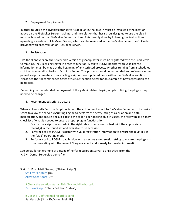#### 2. Deployment Requirements

In order to utilize the gManipulator server-side plug-in, the plug-in must be installed at the location above on the FileMaker Server machine, and the solution that has scripts designed to use the plug-in must be hosted on that FileMaker Server machine. This is easily done by following the instructions for uploading a solution to FileMaker Server, which can be reviewed in the FileMaker Server User's Guide provided with each version of FileMaker Server.

3. Registration

Like the client version, the server-side version of gManipulator must be registered with the Productive Computing, Inc., licensing server in order to function. A call to PCGM\_Register with valid license information must be made at the beginning of any scripted process, whether running from a scheduled script or from a call to Perform Script on Server. This process should be hard-coded and reference either passed script parameters from a calling script or pre-populated fields within the FileMaker solution. Please see the "Recommended Script Structure" section below for an example of how registration can be utilized.

Depending on the intended deployment of the gManipulator plug-in, scripts utilizing the plug-in may need to be changed.

4. Recommended Script Structure

When a client calls Perform Script on Server, the action reaches out to FileMaker Server with the desired script to allow the server's Scripting Engine to perform the heavy lifting of calculation and data manipulation, and return a result back to the caller. For handling plug-in usage, the following is a handy checklist of what is needed to ensure proper plug-in functionality:

- 1. Ensure the script space starts in the right table occurrence context with the appropriate record(s) in the found set and available to be accessed
- 2. Perform a call to PCGM Register with valid registration information to ensure the plug-in is in the "LIVE" operating mode
- 3. Perform a call to PCGM\_LoadSession with an active saved session string to ensure the plug-in is communicating with the correct Google account and is ready to transfer information

See below for an example of a usage of Perform Script on Server, using scripts from the PCGM\_Demo\_Serverside demo file:

Script 1: Push Mail [Server] ("Driver Script") Set Error Capture [On] Allow User Abort [Off]

# Check the solution status. This file should be hosted. Perform Script ["Check Solution Status"]

# Get the ID of the mail record to send Set Variable [\$mailID; Value: Mail::ID]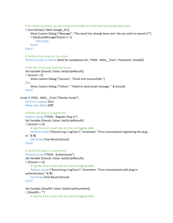```
# For demo purposes, we don't want to modify an email that has already been sent
    If [not IsEmpty ( Mail::Google_ID )]
        Show Custom Dialog ["Message"; "This email has already been sent. Do you wish to resend it?"]
        If [Get(LastMessageChoice) <> 1]
            Halt Script
        End If
    End If
    # Perform the script on the server
    Perform Script on Server [Wait for completion:On; "PSOS - MAIL__Push"; Parameter: $mailID]
    # Get the result and check for errors.
    Set Variable [$result; Value: Get(ScriptResult)]
    If [Sresult = 0]Show Custom Dialog ["Success"; "Email sent successfully."]
    Else
        Show Custom Dialog ["Failure"; "Failed to send email message: " & $result]
    End If
Script 2: PSOS - MAIL__Push ("Worker Script")
    Set Error Capture [On]
    Allow User Abort [Off]
    # Verify the plug-in is registered
    Perform Script ["PSOS - Register Plug-in"]
    Set Variable [$result; Value: Get(ScriptResult)]
   If [$result <> 0]
        # Log the error result into an internal logging table
        Perform Script ["Record Log ( LogText )"; Parameter: "Error encountered registering the plug-
   in." & ¶]
        Exit Script [Text Result:$result]
    End If
    # Verify the plug-in is authorized
    Perform Script ["PSOS - Authenticate"]
    Set Variable [$result; Value: Get(ScriptResult)]
   If [$result <> 0]
        # Log the error result into an internal logging table
        Perform Script ["Record Log ( LogText )"; Parameter: "Error encountered with plug-in 
    authentication." & ¶]
        Exit Script [Text Result:$result]
    End If
    Set Variable [$mailID; Value: Get(ScriptParameter)]
    If [SmailID = ""]
```
# Log the error result into an internal logging table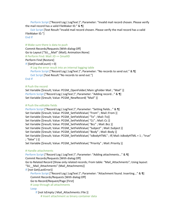Perform Script ["Record Log ( LogText )"; Parameter: "Invalid mail record chosen. Please verify the mail record has a valid FileMaker ID." & ¶]

Exit Script [Text Result:"Invalid mail record chosen. Please verify the mail record has a valid FileMaker ID."]

End If

#### # Make sure there is data to push

```
Commit Records/Requests [With dialog:Off]
Go to Layout ["SU__Mail" (Mail); Animation:None]
# Perform Find: Mail::ID == $mailID
Perform Find [Restore]
If [Get(FoundCount) = 0]
    # Log the error result into an internal logging table
    Perform Script ["Record Log ( LogText )"; Parameter: "No records to send out." & \[]
    Exit Script [Text Result:"No records to send out."]
End If
```
#### # Push the record

Set Variable [\$result; Value: PCGM\_OpenFolder( Main::gFolder Mail ; "Mail" )] Perform Script ["Record Log ( LogText )"; Parameter: "Adding record..." & ¶] Set Variable [\$result; Value: PCGM\_NewRecord( "Mail" )]

#### # Push the editable fields

```
Perform Script ["Record Log ( LogText )"; Parameter: "Setting fields..." & \[]
Set Variable [$result; Value: PCGM_SetFieldValue( "From" ; Mail::From )]
Set Variable [$result; Value: PCGM_SetFieldValue( "To" ; Mail::To)]
Set Variable [$result; Value: PCGM_SetFieldValue( "Cc" ; Mail::Cc )]
Set Variable [$result; Value: PCGM_SetFieldValue( "Bcc" ; Mail::Bcc )]
Set Variable [$result; Value: PCGM_SetFieldValue( "Subject" ; Mail::Subject )]
Set Variable [$result; Value: PCGM_SetFieldValue( "Body" ; Mail::Body )]
Set Variable [$result; Value: PCGM_SetFieldValue( "isBodyHTML" ; If( Mail::IsBodyHTML = 1 ; "true" 
; "false" ) )]
Set Variable [$result; Value: PCGM_SetFieldValue( "Priority" ; Mail::Priority )]
```
#### # Handle attachments

Perform Script ["Record Log ( LogText )"; Parameter: "Adding attachments..." & \[] Commit Records/Requests [With dialog:Off] Go to Related Record [Show only related records; From table: "Mail\_Attachments"; Using layout: "SU Mail Attachments" (Mail Attachments)]

If [not Get(LastError)]

Perform Script ["Record Log ( LogText )"; Parameter: "Attachment found. Inserting..." & ¶] Commit Records/Requests [With dialog:Off]

Go to Record/Request/Page [First]

# Loop through all attachments

#### Loop

If [not IsEmpty ( Mail\_Attachments::File )] # Insert attachment as binary container data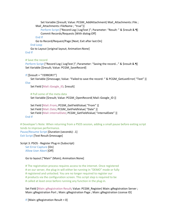Set Variable [\$result; Value: PCGM\_AddAttachment( Mail\_Attachments::File ; Mail Attachments::FileName ; "true")]

```
Perform Script ["Record Log ( LogText )"; Parameter: "Result: " & $result & ¶]
Commit Records/Requests [With dialog:Off]
```
End If

Go to Record/Request/Page [Next; Exit after last:On]

End Loop

Go to Layout [original layout; Animation:None]

End If

# Save the record

Perform Script ["Record Log (LogText )"; Parameter: "Saving the record..." & \$result & ¶] Set Variable [\$result; Value: PCGM\_SaveRecord]

If [\$result = "!!ERROR!!"]

Set Variable [\$message; Value: "Failed to save the record: " & PCGM\_GetLastError( "Text" )] Else

Set Field [Mail::Google\_ID; \$result]

# Pull some of the meta data Set Variable [\$result; Value: PCGM\_OpenRecord( Mail::Google\_ID )]

Set Field [Mail::From; PCGM\_GetFieldValue( "From" )] Set Field [Mail::Date; PCGM\_GetFieldValue( "Date" )] Set Field [Mail::internalDate; PCGM\_GetFieldValue( "internalDate" )] End If

# Developer's Note: When returning from a PSOS session, adding a small pause before exiting script tends to improve performance. Pause/Resume Script [Duration (seconds): .1] Exit Script [Text Result:\$message]

Script 3: PSOS - Register Plug-in (Subscript) Set Error Capture [On] Allow User Abort [Off]

Go to layout ["Main" (Main); Animation:None]

# The registration process requires access to the internet. Once registered # on our server, the plug-in will either be running in "DEMO" mode or fully # registered and unlocked. You are no longer required to register our # products via the configuration screen. This script step is required to be # called at least once before running any function in the plug-in.

Set Field [Main::gRegistration Result; Value: PCGM\_Register( Main::gRegistration Server ; Main::gRegistration Port ; Main::gRegistration Page ; Main::gRegistration License ID]

If  $[Main::gRegion$  Result = 0]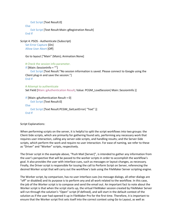Exit Script [Text Result:0]

Else

Exit Script [Text Result:Main::gRegistration Result] End If

```
Script 4: PSOS - Authenticate (Subscript)
    Set Error Capture [On]
    Allow User Abort [Off]
```
Go to layout ["Main" (Main); Animation:None]

# Check the session info parameter.

```
If [Main::SessionInfo = ""]
```
Exit Script [Text Result:"No session information is saved. Please connect to Google using the Client plug-in and save the session."] End If

```
# Attempt to authenticate
```
Set Field [Main::gAuthentication Result; Value: PCGM\_LoadSession( Main::SessionInfo )]

```
If [Main::gAuthentication Result = 0]Exit Script [Text Result:0]
Else
    Exit Script [Text Result:PCGM_GetLastError( "Text" )]
End If
```
Script Explanations:

When performing scripts on the server, it is helpful to split the script workflows into two groups: the Client-Side scripts, which are primarily for gathering found sets, performing any necessary work that requires user interaction, calling any server-side scripts, and handling results; and the Server-Side scripts, which perform the work and require no user interaction. For ease of naming, we refer to these as "Driver" and "Worker" scripts, respectively.

The Driver script in the example above, "Push Mail [Server]", is intended to gather any information from the user's perspective that will be passed to the worker scripts in order to accomplish the workflow's goal. It also provides the user with interface cues, such as messages or layout changes, as necessary. Finally, the Driver script is responsible for issuing the call to Perform Script on Server, referencing the desired Worker script that will carry out the workflow's task using the FileMaker Server scripting engine.

The Worker script, by comparison, has no user interface cues (no message dialogs, all other dialogs are "off" or disabled) and its purpose is to perform any and all work related to the workflow. In this case, the job of the Worker script is to compose and send the email out. An important fact to note about the Worker script is that when the script starts up, the virtual FileMaker session created by FileMaker Server will run through the solution's "Open" script (if defined), and will start in the default context of the solution as if the user had opened it up in FileMaker Pro for the first time. Therefore, it is important to ensure that the Worker script first sets itself into the correct context using Go to Layout, as well as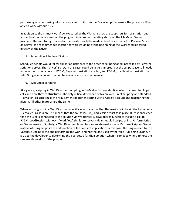performing any finds using information passed to it from the Driver script, to ensure the process will be able to work without issue.

In addition to the primary workflow executed by the Worker script, the subscripts for registration and authentication make sure that the plug-in is in a proper operating status on the FileMaker Server machine. The calls to register and authenticate should be made at least once per call to Perform Script on Server; the recommended location for this would be at the beginning of the Worker script called directly by the Driver.

5. Server-Side Scheduled Scripts

Scheduled scripts would follow similar adjustments to the order of scripting as scripts called by Perform Script on Server. The "Driver" script, in this case, could be largely ignored, but the script space still needs to be in the correct context, PCGM\_Register must still be called, and PCGM\_LoadSession must still use valid Google session information before any work can commence.

6. WebDirect Scripting

At a glance, scripting in WebDirect and scripting in FileMaker Pro are identical when it comes to plug-in calls and how they're structured. The only critical difference between WebDirect scripting and standard FileMaker Pro scripting is the requirement of authenticating with a Google account and registering the plug-in. All other features are the same.

When working within a WebDirect session, it's safe to assume that the session will be similar to that of a FileMaker Pro session. This means that the call to PCGM\_LoadSession must take place at least once each time the user is connected to the solution via WebDirect. A developer may wish to include a call to PCGM\_LoadSession with each "workflow" similar to server-side scheduled scripts or in a Perform Script on Server session. Similarly, a WebDirect implementation can also make use of Perform Script on Server instead of using script steps and function calls as a client application; in this case, the plug-in used by the Database Engine is the one performing the work and not the one used by the Web Publishing Engine. It is up to the developer to determine the best setup for their solution when it comes to where to host the server-side version of the plug-in.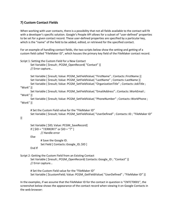# <span id="page-31-0"></span>**7) Custom Contact Fields**

When working with user contacts, there is a possibility that not all fields available to the contact will fit with a developer's specific solution. Google's People API allows for a subset of "user-defined" properties to be set for a given contact record. These user-defined properties are specified by a particular key, which is the "name" of the field to be added, edited, or retrieved for the specified contact.

For an example of handling contact fields, the two scripts below show the setting and getting of a custom field called "FileMaker ID", which houses the primary key field of the FileMaker contact record.

Script 1: Setting the Custom Field for a New Contact

Set Variable [ \$result ; PCGM\_OpenRecord( "Contact" )] // Error capture…

Set Variable [ \$result; Value: PCGM SetFieldValue( "FirstName" ; Contacts::FirstName )] Set Variable [ \$result; Value: PCGM\_SetFieldValue( "LastName" ; Contacts::LastName )] Set Variable [ \$result; Value: PCGM SetFieldValue( "OrganizationTitle" ; Contacts::JobTitle ; "Work" )]

Set Variable [ \$result; Value: PCGM\_SetFieldValue( "EmailAddress" ; Contacts::WorkEmail ; "Work" )]

Set Variable [ \$result; Value: PCGM\_SetFieldValue( "PhoneNumber" ; Contacts::WorkPhone ; "Work" )]

# Set the Custom Field value for the "FileMaker ID" Set Variable [ \$result; Value: PCGM\_SetFieldValue( "UserDefined" ; Contacts::ID ; "FileMaker ID"

)]

```
Set Variable [ $ID; Value: PCGM_SaveRecord]
If \lceil $ID = "!!ERROR!!" or $ID = "?" ]
        // Handle error
```
Else

End If

# Save the Google ID. Set Field [ Contacts::Google ID; \$ID ]

Script 2: Getting the Custom Field from an Existing Contact

Set Variable [ \$result ; PCGM\_OpenRecord( Contacts::Google ID ; "Contact" )] // Error capture…

# Set the Custom Field value for the "FileMaker ID" Set Variable [ \$customField; Value: PCGM\_GetFieldValue( "UserDefined" ; "FileMaker ID" )]

In the examples, if we assume that the FileMaker ID for the contact in question is "CNTCT0001", the screenshot below shows the appearance of the contact record when viewing it on Google Contacts in the web browser: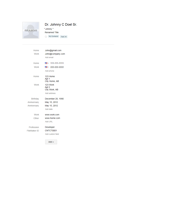

# Dr. Johnny C Doel Sr.

"Johnny " Renamed Title

 $\frac{1}{\sqrt{2}}$  My Contacts Test  $|\mathbf{v}|$ 

| Home<br>Work    | John@gmail.com<br>John@company.com<br>Add email |
|-----------------|-------------------------------------------------|
| Home            | ■ → 111-111-1111                                |
| Work            | ■ - 222-222-2222                                |
|                 | Add phone                                       |
| Home            | 123 Home<br>Apt 1<br>City Home, AB              |
| Work            | 123 Work<br>Apt 2<br>City Work, AB              |
|                 | Add address                                     |
| <b>Birthday</b> | December 28, 1990                               |
| Anniversary     | May 15, 2012                                    |
| Anniversary     | May 15, 2012                                    |
|                 | Add date                                        |
| Work            | www.work.com                                    |
| Other           | www.home.com                                    |
|                 | Add URL                                         |
| Profession      | Developer                                       |
| FileMaker ID    | CNTCT0001                                       |
|                 | Add custom field                                |
|                 | $Add -$                                         |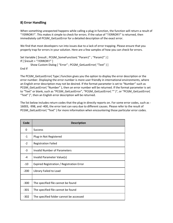# <span id="page-33-0"></span>**8) Error Handling**

When something unexpected happens while calling a plug-in function, the function will return a result of "!!ERROR!!". This makes it simple to check for errors. If the value of "!!ERROR!!" is returned, then immediately call PCGM\_GetLastError for a detailed description of the exact error.

We find that most developers run into issues due to a lack of error trapping. Please ensure that you properly trap for errors in your solution. Here are a few samples of how you can check for errors.

```
Set Variable [ $result ; PCGM_SomeFunction( "Param1" ; "Param2" ) ]
If [ $result = "!!ERROR!!" ]
       Show Custom Dialog [ "Error" ; PCGM_GetLastError( "Text" ) ]
```
End If

The PCGM GetLastError( Type ) function gives you the option to display the error description or the error number. Displaying the error number is more user friendly in international environments, where an English error description may not be desired. If the format parameter is set to "Number" such as PCGM GetLastError( "Number" ), then an error number will be returned. If the format parameter is set to "Text" or blank, such as "PCGM\_GetLastError", "PCGM\_GetLastError( "" )", or "PCGM\_GetLastError( "Text" )", then an English error description will be returned.

The list below includes return codes that the plug-in directly reports on. For some error codes, such as - 16003, -998, and -400, the error text can vary due to different causes. Please refer to the result of PCGM\_GetLastError( "Text" ) for more information when encountering those particular error codes.

| Code   | <b>Description</b>                        |  |  |  |
|--------|-------------------------------------------|--|--|--|
| 0      | <b>Success</b>                            |  |  |  |
| $-1$   | Plug-in Not Registered                    |  |  |  |
| $-2$   | <b>Registration Failed</b>                |  |  |  |
| $-3$   | <b>Invalid Number of Parameters</b>       |  |  |  |
| $-4$   | Invalid Parameter Value(s)                |  |  |  |
| $-10$  | Expired Registration / Registration Error |  |  |  |
| $-200$ | Library Failed to Load                    |  |  |  |
|        |                                           |  |  |  |
| $-300$ | The specified file cannot be found        |  |  |  |
| $-301$ | The specified file cannot be found        |  |  |  |
| $-302$ | The specified folder cannot be accessed   |  |  |  |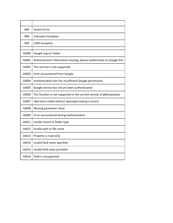| -400     | <b>System Error</b>                                                     |  |  |  |
|----------|-------------------------------------------------------------------------|--|--|--|
| $-998$   | Unknown Exception                                                       |  |  |  |
| $-999$   | <b>COM Exception</b>                                                    |  |  |  |
|          |                                                                         |  |  |  |
| $-16000$ | Google Log-on Failed                                                    |  |  |  |
| $-16001$ | Authentication information missing; please authenticate to Google first |  |  |  |
| -16002   | This Version is not supported                                           |  |  |  |
| $-16003$ | Error encountered from Google                                           |  |  |  |
| $-16004$ | Authenticated user has insufficient Google permissions                  |  |  |  |
| $-16005$ | Google service has not yet been authenticated                           |  |  |  |
| $-16006$ | This function is not supported in the current version of gManipulator   |  |  |  |
| $-16007$ | Operation called without opening/creating a record                      |  |  |  |
| $-16008$ | Missing parameter value                                                 |  |  |  |
| $-16009$ | Error encountered during Authentication                                 |  |  |  |
| $-16011$ | Invalid record or folder type                                           |  |  |  |
| $-16012$ | Invalid path or file name                                               |  |  |  |
| $-16013$ | Property is read-only                                                   |  |  |  |
| $-16014$ | Invalid field name specified                                            |  |  |  |
| $-16015$ | Invalid field value provided                                            |  |  |  |
| $-16016$ | Field is unsupported                                                    |  |  |  |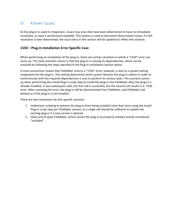# <span id="page-35-0"></span>III. Known Issues

As the plug-in is used in integration, issues may arise that have been determined to have no immediate resolution, or have a workaround available. This section is used to document these known issues; if a full resolution is later determined, the issue entry in this section will be updated to reflect the solution.

# <span id="page-35-1"></span>**1550 – Plug-in Installation Error Specific Case**

When performing an installation of the plug-in, there are certain situations in which a "1550" error can come up. The most common reason is that the plug-in is missing its dependencies, which can be resolved by following the steps specified in the Plug-in Installation section above.

A more uncommon reason that FileMaker returns a "1550" error, however, is due to a system setting integrated into the plug-in. This setting determines which system libraries the plug-in utilizes in order to communicate with the required dependencies it uses to perform its various tasks. This scenario comes up when performing the Install Plug-in script step to install the plug-in into FileMaker after the plug-in is already installed, in two subsequent calls; the first call is successful, but the second call results in a -1550 error. After receiving the error, the plug-in will be disconnected from FileMaker, and FileMaker will behave as if the plug-in is not installed.

There are two resolutions for this specific scenario:

- 1. Implement scripting to prevent the plug-in from being installed more than once using the Install Plug-in script step per FileMaker session, as a single call should be sufficient to update the existing plug-in if a new version is desired.
- 2. Close and re-open FileMaker, which causes the plug-in to properly initialize and be considered "installed".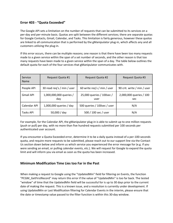# <span id="page-36-0"></span>**Error 403 - "Quota Exceeded"**

The Google API sets a limitation on the number of requests that can be submitted to its services on a per-day and per-minute basis. Quotas are split between the different services; there are separate quotas for Google Contacts, Gmail, Calendar, and Tasks. This limitation is fairly generous, however these quotas are linked to all communication that is performed by the gManipulator plug-in, which affects any and all customers utilizing the plug-in.

If this error occurs, there can be multiple reasons; one reason is that there have been too many requests made to a given service within the span of a set number of seconds, and the other reason is that too many requests have been made to a given service within the span of a day. The table below outlines the default quota for each of the four services that gManipulator communicates with.

| Service<br><b>Name</b> | Request Quota #1               | Request Quota #2                  | Request Quota #3               |
|------------------------|--------------------------------|-----------------------------------|--------------------------------|
| People API             | 30 read reg's / min / user     | 60 write req's / min / user       | 90 crit. write / min / user    |
| <b>Gmail API</b>       | 1,000,000,000 queries /<br>day | 25,000 queries / 100sec /<br>user | 2,000,000 queries / 100<br>sec |
| Calendar API           | 1,000,000 queries / day        | 500 queries / 100sec / user       | N/A                            |
| Tasks API              | 50,000 / day                   | 500 / 100 sec / user              | N/A                            |

For example, for the Calendar API, the gManipulator plug-in is able to submit up to one million requests (push or pull) per day, with no more than five hundred requests submitted per 100 seconds per authenticated user account.

If you encounter a Quota Exceeded error, determine it to be a daily quota instead of a per-100-seconds quota, and require more requests to be submitted, please reach out to our support line via the Contact Us section down below and inform us which service you experienced the error message for (e.g. if you were sending an email, or pulling calendar events, etc.). We will request for Google to expand the quota limit and will inform you via email as soon as the quota has been increased.

# <span id="page-36-1"></span>**Minimum Modification Time Lies too Far in the Past**

When making a request to Google using the "UpdatedMin" field for filtering on Events, the function "PCGM\_GetFirstRecord" may return this error if the value of "UpdatedMin" is too far back. The tested "window" of time that the UpdatedMin field will be successful for is up to 30 days prior to the current date of making the request. This is a known issue, and a resolution is currently under development. If using UpdatedMin or Last Modification filtering for Calendar Events in the interim, please ensure that the date or timestamp value passed to the filter function is within this 30-day window.